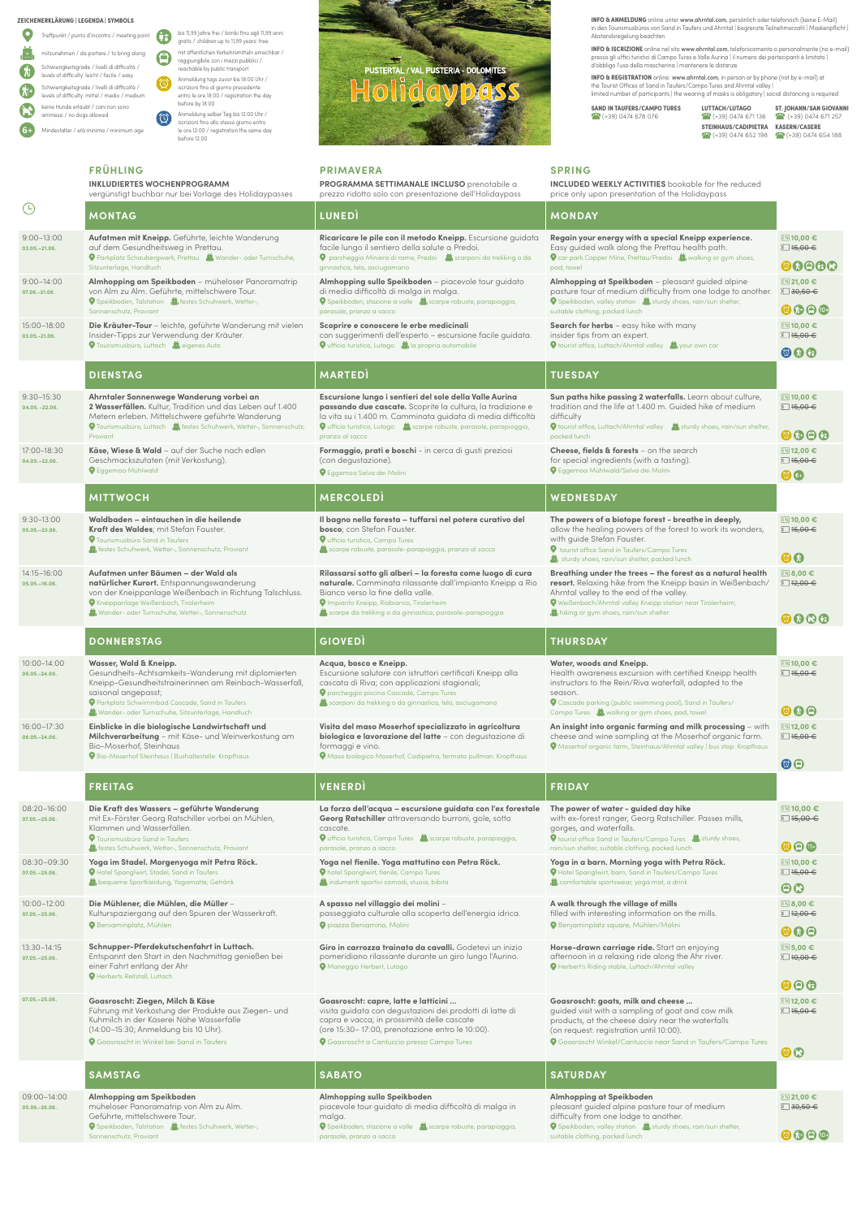$\bigoplus$ bis 11,99 Jahre frei / bimbi fino agli 11,99 anni gratis / children up to 11,99 years: free mit öffentlichen Verkehrsmitteln erreichbar /  $\bigoplus$ raggiungibile con i mezzi pubblici / reachable by public transport Anmeldung tags zuvor bis 18:00 Uhr /  $\circledcirc$ iscrizioni fino al giorno precedente entro le ore 18:00 / registration the day before by 18:00 Anmeldung selber Tag bis 12:00 Uhr /  $\circledcirc$ iscrizioni fino allo stesso giorno entro le ore 12:00 / registration the same day

before 12:00

**ZEICHENERKLÄRUNG | LEGENDA | SYMBOLS**

|    | Treffpunkt / punto d'incontro / meeting point                                                  |
|----|------------------------------------------------------------------------------------------------|
|    | mitzunehmen / da portare / to bring along                                                      |
| 'N | Schwierigkeitsgrade / livelli di difficoltà /<br>levels of difficulty: leicht / facile / easy  |
| 雅  | Schwierigkeitsgrade / livelli di difficoltà /<br>levels of difficulty: mittel / medio / medium |
|    | keine Hunde erlaubt / cani non sono<br>ammessi / no dogs allowed                               |
|    | Mindestalter / età minima / minimum age                                                        |

**FRÜHLING**

**INKLUDIERTES WOCHENPROGRAMM**



## **PRIMAVERA**

**PROGRAMMA SETTIMANALE INCLUSO** prenotabile a prezzo ridotto solo con presentazione dell'Holidaypass **SPRING**

**INCLUDED WEEKLY ACTIVITIES** bookable for the reduced price only upon presentation of the Holidaypass

|                                   | vergünstigt buchbar nur bei Vorlage des Holidaypasses                                                                                                                                                                                                               | prezzo ridotto solo con presentazione dell'Holidaypass                                                                                                                                                                                                                           | price only upon presentation of the Holidaypass                                                                                                                                                                                                                                                                             |                                                               |
|-----------------------------------|---------------------------------------------------------------------------------------------------------------------------------------------------------------------------------------------------------------------------------------------------------------------|----------------------------------------------------------------------------------------------------------------------------------------------------------------------------------------------------------------------------------------------------------------------------------|-----------------------------------------------------------------------------------------------------------------------------------------------------------------------------------------------------------------------------------------------------------------------------------------------------------------------------|---------------------------------------------------------------|
| $\bigodot$                        | <b>MONTAG</b>                                                                                                                                                                                                                                                       | <b>LUNEDI</b>                                                                                                                                                                                                                                                                    | <b>MONDAY</b>                                                                                                                                                                                                                                                                                                               |                                                               |
| $9:00 - 13:00$<br>03.05. - 21.06. | Aufatmen mit Kneipp. Geführte, leichte Wanderung<br>auf dem Gesundheitsweg in Prettau.<br>Parkplatz Schaubergwerk, Prettau A, Wander- oder Turnschuhe,                                                                                                              | Ricaricare le pile con il metodo Kneipp. Escursione guidata<br>facile lungo il sentiero della salute a Predoi.<br><b>O</b> parcheggio Miniera di rame, Predoi iscarponi da trekking o da                                                                                         | Regain your energy with a special Kneipp experience.<br>Easy guided walk along the Prettau health path.<br><b>Q</b> car park Copper Mine, Prettau/Predoi is walking or gym shoes,                                                                                                                                           | ⊠ 10,00 €<br>□ 15,00 €                                        |
|                                   | Sitzunterlage, Handtuch                                                                                                                                                                                                                                             | ginnastica, telo, asciugamano                                                                                                                                                                                                                                                    | pad, towel                                                                                                                                                                                                                                                                                                                  | OOOOC                                                         |
| $9:00 - 14:00$<br>07.06.-21.06.   | Almhopping am Speikboden - müheloser Panoramatrip<br>von Alm zu Alm. Geführte, mittelschwere Tour.<br>Speikboden, Talstation in festes Schuhwerk, Wetter-,                                                                                                          | Almhopping sullo Speikboden - piacevole tour guidato<br>di media difficoltà di malga in malga.<br>Speikboden, stazione a valle in scarpe robuste, parapioggia,                                                                                                                   | Almhopping at Speikboden - pleasant guided alpine<br>pasture tour of medium difficulty from one lodge to another.<br>Speikboden, valley station in sturdy shoes, rain/sun shelter,                                                                                                                                          | ⊠ 21,00 €<br>$\Sigma$ 30,50 $\in$                             |
|                                   | Sonnenschutz, Proviant                                                                                                                                                                                                                                              | parasole, pranzo a sacco                                                                                                                                                                                                                                                         | suitable clothing, packed lunch                                                                                                                                                                                                                                                                                             | $\circledcirc$                                                |
| 15:00-18:00<br>03.05.-21.06.      | Die Kräuter-Tour - leichte, geführte Wanderung mit vielen<br>Insider-Tipps zur Verwendung der Kräuter.<br><b>O</b> Tourismusbüro, Luttach is eigenes Auto                                                                                                           | Scoprire e conoscere le erbe medicinali<br>con suggerimenti dell'esperto - escursione facile guidata.<br><b>O</b> ufficio turistico, Lutago <b>in la propria automobile</b>                                                                                                      | Search for herbs - easy hike with many<br>insider tips from an expert.<br>your own car your own car                                                                                                                                                                                                                         | ⊠ 10,00 €<br>∑ 15,00 €                                        |
|                                   |                                                                                                                                                                                                                                                                     |                                                                                                                                                                                                                                                                                  |                                                                                                                                                                                                                                                                                                                             | $\odot$ $\odot$ $\odot$                                       |
|                                   | <b>DIENSTAG</b>                                                                                                                                                                                                                                                     | <b>MARTED</b>                                                                                                                                                                                                                                                                    | <b>TUESDAY</b>                                                                                                                                                                                                                                                                                                              |                                                               |
| 9:30-15:30<br>04.05. -22.06.      | Ahrntaler Sonnenwege Wanderung vorbei an<br>2 Wasserfällen. Kultur, Tradition und das Leben auf 1.400<br>Metern erleben. Mittelschwere geführte Wanderung<br>Tourismusbüro, Luttach in festes Schuhwerk, Wetter-, Sonnenschutz,<br>Proviant                         | Escursione lungo i sentieri del sole della Valle Aurina<br>passando due cascate. Scoprite la cultura, la tradizione e<br>la vita su i 1.400 m. Camminata guidata di media difficoltà<br>O ufficio turistico, Lutago in scarpe robuste, parasole, parapioggia,<br>pranzo al sacco | Sun paths hike passing 2 waterfalls. Learn about culture,<br>tradition and the life at 1.400 m. Guided hike of medium<br>difficulty<br>O tourist office, Luttach/Ahrntal valley is sturdy shoes, rain/sun shelter,<br>packed lunch                                                                                          | ⊠ 10.00 €<br>∑ 15,00 €<br>$\odot \odot \odot \odot$           |
| 17:00-18:30<br>04.05. - 22.06.    | Käse, Wiese & Wald - auf der Suche nach edlen<br>Geschmackszutaten (mit Verkostung).<br><b>Q</b> Eggemoa Mühlwald                                                                                                                                                   | Formaggio, prati e boschi - in cerca di gusti preziosi<br>(con degustazione).<br><b>O</b> Eggemoa Selva dei Molini                                                                                                                                                               | Cheese, fields & forests - on the search<br>for special ingredients (with a tasting).<br><b>O</b> Eggemoa Mühlwald/Selva dei Molini                                                                                                                                                                                         | ⊠ 12,00 €<br>$\Sigma$ 15,00 $\in$<br>$\odot$ 6+               |
|                                   | <b>MITTWOCH</b>                                                                                                                                                                                                                                                     | <b>MERCOLEDI</b>                                                                                                                                                                                                                                                                 | WEDNESDAY                                                                                                                                                                                                                                                                                                                   |                                                               |
| 9:30-13:00<br>05.05. - 23.06.     | Waldbaden – eintauchen in die heilende<br>Kraft des Waldes; mit Stefan Fauster.<br><b>V</b> Tourismusbüro Sand in Taufers<br>festes Schuhwerk, Wetter-, Sonnenschutz, Proviant                                                                                      | Il bagno nella foresta - tuffarsi nel potere curativo del<br>bosco; con Stefan Fauster.<br><b>V</b> ufficio turistico, Campo Tures<br>scarpe robuste, parasole-parapioggia, pranzo al sacco                                                                                      | The powers of a biotope forest - breathe in deeply,<br>allow the healing powers of the forest to work its wonders,<br>with guide Stefan Fauster.<br><b>V</b> tourist office Sand in Taufers/Campo Tures                                                                                                                     | ⊠ 10,00 €<br>∑ 15,00 €<br>$\odot$ $\odot$                     |
| 14:15-16:00<br>05.05. - 16.06.    | Aufatmen unter Bäumen - der Wald als<br>natürlicher Kurort. Entspannungswanderung<br>von der Kneippanlage Weißenbach in Richtung Talschluss.<br><b>O</b> Kneippanlage Weißenbach, Tirolerheim<br>Wander- oder Turnschuhe, Wetter-, Sonnenschutz                     | Rilassarsi sotto gli alberi - la foresta come luogo di cura<br>naturale. Camminata rilassante dall'impianto Kneipp a Rio<br>Bianco verso la fine della valle.<br><b>V</b> Impianto Kneipp, Riobianco, Tirolerheim<br>scarpe da trekking o da ginnastica, parasole-parapioggia    | sturdy shoes, rain/sun shelter, packed lunch<br>Breathing under the trees - the forest as a natural health<br>resort. Relaxing hike from the Kneipp basin in Weißenbach/<br>Ahrntal valley to the end of the valley.<br>Weißenbach/Ahrntal valley Kneipp station near Tirolerheim;<br>hiking or gym shoes, rain/sun shelter | ⊠ 8,00 €<br>$\Sigma$ 12,00 $\in$<br>0000                      |
|                                   | <b>DONNERSTAG</b>                                                                                                                                                                                                                                                   | <b>GIOVED</b>                                                                                                                                                                                                                                                                    | <b>THURSDAY</b>                                                                                                                                                                                                                                                                                                             |                                                               |
| 10:00-14:00<br>06.05.-24.06.      | Wasser, Wald & Kneipp.<br>Gesundheits-Achtsamkeits-Wanderung mit diplomierten<br>Kneipp-Gesundheitstrainerinnen am Reinbach-Wasserfall,<br>saisonal angepasst;<br>Parkplatz Schwimmbad Cascade, Sand in Taufers<br>Wander- oder Turnschuhe, Sitzunterlage, Handtuch | Acqua, bosco e Kneipp.<br>Escursione salutare con istruttori certificati Kneipp alla<br>cascata di Riva; con applicazioni stagionali;<br><b>O</b> parcheggio piscina Cascade, Campo Tures<br>scarponi da trekking o da ginnastica, telo, asciugamano                             | Water, woods and Kneipp.<br>Health awareness excursion with certified Kneipp health<br>instructors to the Rein/Riva waterfall, adapted to the<br>season.<br>● Cascade parking (public swimming pool), Sand in Taufers/<br>Campo Tures is walking or gym shoes, pad, towel                                                   | ⊠ 10,00 €<br>∑ 15,00 €<br>$\circledcirc$                      |
| 16:00-17:30<br>06.05.-24.06.      | Einblicke in die biologische Landwirtschaft und<br>Milchverarbeitung - mit Käse- und Weinverkostung am<br>Bio-Moserhof, Steinhaus<br><b>O</b> Bio-Moserhof Steinhaus   Bushaltestelle: Kropfhaus                                                                    | Visita del maso Moserhof specializzato in agricoltura<br>biologica e lavorazione del latte - con degustazione di<br>formaggi e vino.<br><b>O</b> Maso biologico Moserhof, Cadipietra, fermata pullman: Kropfhaus                                                                 | An insight into organic farming and milk processing - with<br>cheese and wine sampling at the Moserhof organic farm.<br><b>O</b> Moserhof organic farm, Steinhaus/Ahrntal valley   bus stop: Kropfhaus                                                                                                                      | ⊠ 12,00 €<br>∑ 15,00 €<br>$\odot$ e                           |
|                                   | <b>FREITAG</b>                                                                                                                                                                                                                                                      | VENERDÌ                                                                                                                                                                                                                                                                          | <b>FRIDAY</b>                                                                                                                                                                                                                                                                                                               |                                                               |
| 08:20-16:00<br>07.05. - 25.06.    | Die Kraft des Wassers - geführte Wanderung<br>mit Ex-Förster Georg Ratschiller vorbei an Mühlen,<br>Klammen und Wasserfällen.<br><b>9</b> Tourismusbüro Sand in Taufers<br>festes Schuhwerk, Wetter-, Sonnenschutz, Proviant                                        | La forza dell'acqua - escursione guidata con l'ex forestale<br>Georg Ratschiller attraversando burroni, gole, sotto<br>cascate.<br>O ufficio turistico, Campo Tures in scarpe robuste, parapioggia,<br>parasole, pranzo a sacco                                                  | The power of water - guided day hike<br>with ex-forest ranger, Georg Ratschiller. Passes mills,<br>gorges, and waterfalls.<br>O tourist office Sand in Taufers/Campo Tures is sturdy shoes,<br>rain/sun shelter, suitable clothing, packed lunch                                                                            | 2⊠ 10,00 €<br>$\Sigma$ 15,00 $\in$<br>$\odot$ $\odot$ $\odot$ |
| 08:30-09:30<br>07.05. - 25.06.    | Yoga im Stadel. Morgenyoga mit Petra Röck.<br><b>Q</b> Hotel Spanglwirt, Stadel, Sand in Taufers<br>bequeme Sportkleidung, Yogamatte, Getränk                                                                                                                       | Yoga nel fienile. Yoga mattutino con Petra Röck.<br><b>O</b> hotel Spanglwirt, fienile, Campo Tures<br>indumenti sportivi comodi, stuoia, bibita                                                                                                                                 | Yoga in a barn. Morning yoga with Petra Röck.<br><b>O</b> Hotel Spanglwirt, barn, Sand in Taufers/Campo Tures<br>comfortable sportswear, yoga mat, a drink                                                                                                                                                                  | ⊠ 10,00 €<br>∑ 15,00 €                                        |
|                                   |                                                                                                                                                                                                                                                                     |                                                                                                                                                                                                                                                                                  |                                                                                                                                                                                                                                                                                                                             | $\bigcirc$                                                    |
| 10:00-12:00                       | Die Mühlener, die Mühlen, die Müller-                                                                                                                                                                                                                               | A spasso nel villaggio dei molini -                                                                                                                                                                                                                                              | A walk through the village of mills                                                                                                                                                                                                                                                                                         | ⊠ 8,00 €                                                      |

**INFO & ANMELDUNG** online unter **www.ahrntal.com**, persönlich oder telefonisch (keine E-Mail)<br>in den Tourismusbüros von Sand in Taufers und Ahrntal | begrenzte Teilnehmerzahl | Maskenpflicht | Abstandsregelung beachten

**INFO & REGISTRATION** online: www.ahrntal.com, in person or by phone (not by e-mail) at<br>the Tourist Offices of Sand in Taufers/Campo Tures and Ahrntal valley | limited number of participants | the wearing of masks is obligatory | social distancing is required

**SAND IN TAUFERS/CAMPO TURES LUTTACH/LUTAGO ST. JOHANN/SAN GIOVANNI**<br>  $\bullet$  (+39) 0474 678 076 **C** (+39) 0474 671 136  $\bullet$  (+39) 0474 671 257

(+39) 0474 678 076 (+39) 0474 671 136(+39) 0474 671 257  **STEINHAUS/CADIPIETRA KASERN/CASERE 1 (+39) 0474 652 198 1 (+39) 0474 654 188** 

filled with interesting information on the mills.

| Kulturspaziergang auf den Spuren der Wasserkraft.<br><b>Q</b> Beniaminplatz, Mühlen                                                                                                                                              | passeggiata culturale alla scoperta dell'energia idrica.<br><b>O</b> piazza Beniamino, Molini                                                                                                                                                             | filled with interesting information on the mills.<br><b>O</b> Benjaminplatz square, Mühlen/Molini                                                                                                                                                                | $\Box$ 12,00 $\in$<br>$\odot \odot \odot$                |
|----------------------------------------------------------------------------------------------------------------------------------------------------------------------------------------------------------------------------------|-----------------------------------------------------------------------------------------------------------------------------------------------------------------------------------------------------------------------------------------------------------|------------------------------------------------------------------------------------------------------------------------------------------------------------------------------------------------------------------------------------------------------------------|----------------------------------------------------------|
| Schnupper-Pferdekutschenfahrt in Luttach.<br>Entspannt den Start in den Nachmittag genießen bei<br>einer Fahrt entlang der Ahr<br><b>Q</b> Herberts Reitstall, Luttach                                                           | Giro in carrozza trainata da cavalli. Godetevi un inizio<br>pomeridiano rilassante durante un giro lungo l'Aurino.<br>Maneggio Herbert, Lutago                                                                                                            | Horse-drawn carriage ride. Start an enjoying<br>afternoon in a relaxing ride along the Ahr river.<br><b>Q</b> Herbert's Riding stable, Luttach/Ahrntal valley                                                                                                    | 2%5,00€<br>$\Box$ 10,00 $\in$<br>$\odot$ $\odot$ $\odot$ |
| Goasroscht: Ziegen, Milch & Käse<br>Führung mit Verkostung der Produkte aus Ziegen- und<br>Kuhmilch in der Käserei Nähe Wasserfälle<br>(14:00-15:30; Anmeldung bis 10 Uhr).<br><b>O</b> Goasroscht in Winkel bei Sand in Taufers | Goasroscht: capre, latte e latticini<br>visita guidata con degustazioni dei prodotti di latte di<br>capra e vacca; in prossimità delle cascate<br>(ore 15:30 - 17:00, prenotazione entro le 10:00).<br><b>Q</b> Goasroscht a Cantuccio presso Campo Tures | Goasroscht: goats, milk and cheese<br>quided visit with a sampling of goat and cow milk<br>products, at the cheese dairy near the waterfalls<br>(on request: registration until 10:00).<br><b>Q</b> Goasroscht Winkel/Cantuccio near Sand in Taufers/Campo Tures | 2212,00€<br>$\Sigma$ 15,00 $\in$<br>OS                   |
| <b>SAMSTAG</b>                                                                                                                                                                                                                   | <b>SABATO</b>                                                                                                                                                                                                                                             | <b>SATURDAY</b>                                                                                                                                                                                                                                                  |                                                          |
|                                                                                                                                                                                                                                  |                                                                                                                                                                                                                                                           |                                                                                                                                                                                                                                                                  |                                                          |
|                                                                                                                                                                                                                                  |                                                                                                                                                                                                                                                           |                                                                                                                                                                                                                                                                  |                                                          |

**INFO & ISCRIZIONE** online nel sito www.ahrntal.com, telefonicamente o personalmente (no e-mail) presso gli uffici turistici di Campo Tures e Valle Aurina | il numero dei partecipanti è limitato | d'obbligo l'uso della mascherina | mantenere le distanze